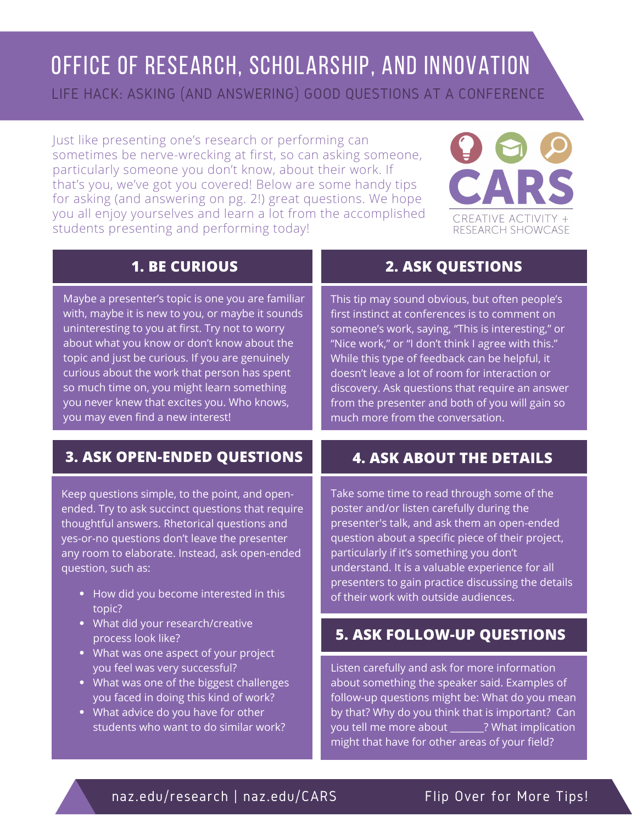# OFFICE OF RESEARCH, SCHOLARSHIP, AND INNOVATION

LIFE HACK: ASKING (AND ANSWERING) GOOD QUESTIONS AT A CONFERENCE

Just like presenting one's research or performing can sometimes be nerve-wrecking at first, so can asking someone, particularly someone you don't know, about their work. If that's you, we've got you covered! Below are some handy tips for asking (and answering on pg. 2!) great questions. We hope you all enjoy yourselves and learn a lot from the accomplished students presenting and performing today!



| <b>1. BE CURIOUS</b>                                                                                                                                                                                                                                                                                                                                                                                                                         |                                                                                                                                                             |
|----------------------------------------------------------------------------------------------------------------------------------------------------------------------------------------------------------------------------------------------------------------------------------------------------------------------------------------------------------------------------------------------------------------------------------------------|-------------------------------------------------------------------------------------------------------------------------------------------------------------|
| Maybe a presenter's topic is one you are familiar<br>with, maybe it is new to you, or maybe it sounds<br>uninteresting to you at first. Try not to worry<br>about what you know or don't know about the<br>topic and just be curious. If you are genuinely<br>curious about the work that person has spent<br>so much time on, you might learn something<br>you never knew that excites you. Who knows,<br>you may even find a new interest! | This tip may s<br>first instinct at<br>someone's wo<br>"Nice work," o<br>While this typ<br>doesn't leave<br>discovery. Ask<br>from the pres<br>much more fr |
| <b>3. ASK OPEN-ENDED QUESTIONS</b>                                                                                                                                                                                                                                                                                                                                                                                                           | <b>4. ASK</b>                                                                                                                                               |
| .con questions simple to the point and open                                                                                                                                                                                                                                                                                                                                                                                                  | Take some tin                                                                                                                                               |

Keep questions simple, to the point, and openended. Try to ask succinct questions that require thoughtful answers. Rhetorical questions and yes-or-no questions don't leave the presenter any room to elaborate. Instead, ask open-ended question, such as:

- How did you become interested in this topic?
- What did your research/creative process look like?
- What was one aspect of your project you feel was very successful?
- What was one of the biggest challenges you faced in doing this kind of work?
- What advice do you have for other students who want to do similar work?

### **2. ASK QUESTIONS**

ound obvious, but often people's conferences is to comment on  $\overline{\text{ork}}$ , saying, "This is interesting," or r "I don't think I agree with this." e of feedback can be helpful, it a lot of room for interaction or questions that require an answer enter and both of you will gain so om the conversation.

### **4. ASK ABOUT THE DETAILS**

ne to read through some of the poster and/or listen carefully during the presenter's talk, and ask them an open-ended question about a specific piece of their project, particularly if it's something you don't understand. It is a valuable experience for all presenters to gain practice discussing the details of their work with outside audiences.

#### **5. ASK FOLLOW-UP QUESTIONS**

Listen carefully and ask for more information about something the speaker said. Examples of follow-up questions might be: What do you mean by that? Why do you think that is important? Can you tell me more about \_\_\_\_\_\_\_? What implication might that have for other areas of your field?

#### naz.edu/research | naz.edu/CARS Flip Over for More Tips!